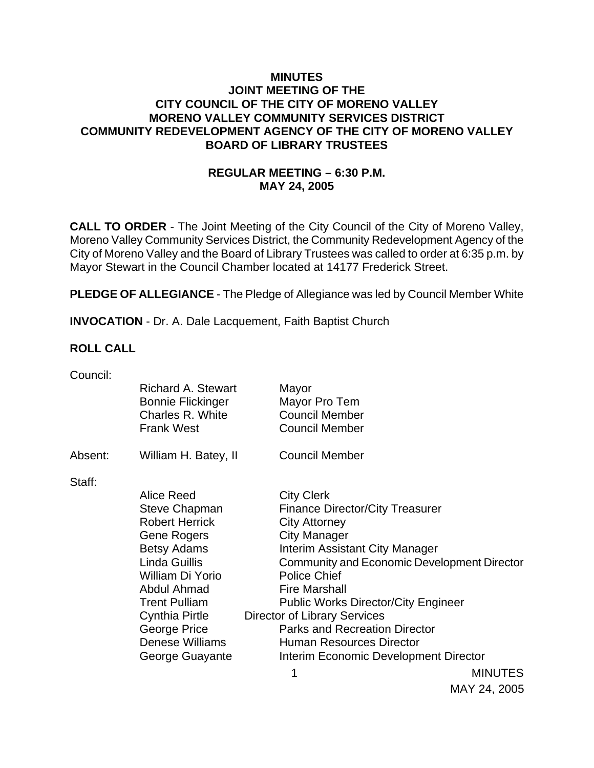### **MINUTES JOINT MEETING OF THE CITY COUNCIL OF THE CITY OF MORENO VALLEY MORENO VALLEY COMMUNITY SERVICES DISTRICT COMMUNITY REDEVELOPMENT AGENCY OF THE CITY OF MORENO VALLEY BOARD OF LIBRARY TRUSTEES**

## **REGULAR MEETING – 6:30 P.M. MAY 24, 2005**

**CALL TO ORDER** - The Joint Meeting of the City Council of the City of Moreno Valley, Moreno Valley Community Services District, the Community Redevelopment Agency of the City of Moreno Valley and the Board of Library Trustees was called to order at 6:35 p.m. by Mayor Stewart in the Council Chamber located at 14177 Frederick Street.

**PLEDGE OF ALLEGIANCE** - The Pledge of Allegiance was led by Council Member White

**INVOCATION** - Dr. A. Dale Lacquement, Faith Baptist Church

#### **ROLL CALL**

| <b>Richard A. Stewart</b><br><b>Bonnie Flickinger</b> | Mayor<br>Mayor Pro Tem                                   |                                                                                                                                                                                                                                              |
|-------------------------------------------------------|----------------------------------------------------------|----------------------------------------------------------------------------------------------------------------------------------------------------------------------------------------------------------------------------------------------|
|                                                       |                                                          |                                                                                                                                                                                                                                              |
|                                                       |                                                          |                                                                                                                                                                                                                                              |
| William H. Batey, II                                  | <b>Council Member</b>                                    |                                                                                                                                                                                                                                              |
|                                                       |                                                          |                                                                                                                                                                                                                                              |
| Alice Reed                                            | <b>City Clerk</b>                                        |                                                                                                                                                                                                                                              |
| <b>Steve Chapman</b>                                  |                                                          |                                                                                                                                                                                                                                              |
| <b>Robert Herrick</b>                                 | <b>City Attorney</b>                                     |                                                                                                                                                                                                                                              |
| Gene Rogers                                           | <b>City Manager</b>                                      |                                                                                                                                                                                                                                              |
| <b>Betsy Adams</b>                                    |                                                          |                                                                                                                                                                                                                                              |
| Linda Guillis                                         |                                                          | <b>Community and Economic Development Director</b>                                                                                                                                                                                           |
| William Di Yorio                                      | <b>Police Chief</b>                                      |                                                                                                                                                                                                                                              |
| Abdul Ahmad                                           | <b>Fire Marshall</b>                                     |                                                                                                                                                                                                                                              |
| <b>Trent Pulliam</b>                                  |                                                          | <b>Public Works Director/City Engineer</b>                                                                                                                                                                                                   |
| Cynthia Pirtle                                        |                                                          |                                                                                                                                                                                                                                              |
| George Price                                          |                                                          |                                                                                                                                                                                                                                              |
|                                                       |                                                          |                                                                                                                                                                                                                                              |
| George Guayante                                       |                                                          | Interim Economic Development Director                                                                                                                                                                                                        |
|                                                       |                                                          | <b>MINUTES</b>                                                                                                                                                                                                                               |
|                                                       | Charles R. White<br><b>Frank West</b><br>Denese Williams | <b>Council Member</b><br><b>Council Member</b><br><b>Finance Director/City Treasurer</b><br>Interim Assistant City Manager<br><b>Director of Library Services</b><br><b>Parks and Recreation Director</b><br><b>Human Resources Director</b> |

MAY 24, 2005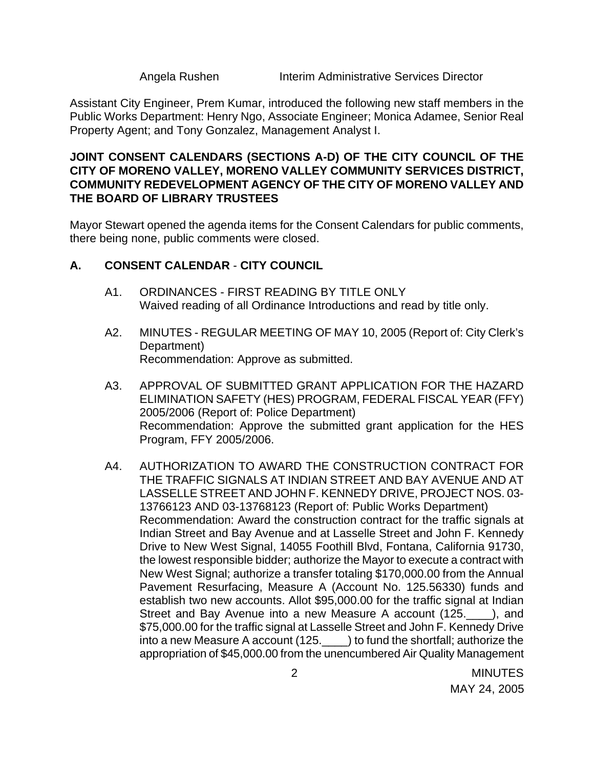Angela Rushen Interim Administrative Services Director

Assistant City Engineer, Prem Kumar, introduced the following new staff members in the Public Works Department: Henry Ngo, Associate Engineer; Monica Adamee, Senior Real Property Agent; and Tony Gonzalez, Management Analyst I.

#### **JOINT CONSENT CALENDARS (SECTIONS A-D) OF THE CITY COUNCIL OF THE CITY OF MORENO VALLEY, MORENO VALLEY COMMUNITY SERVICES DISTRICT, COMMUNITY REDEVELOPMENT AGENCY OF THE CITY OF MORENO VALLEY AND THE BOARD OF LIBRARY TRUSTEES**

Mayor Stewart opened the agenda items for the Consent Calendars for public comments, there being none, public comments were closed.

## **A. CONSENT CALENDAR** - **CITY COUNCIL**

- A1. ORDINANCES FIRST READING BY TITLE ONLY Waived reading of all Ordinance Introductions and read by title only.
- A2. MINUTES REGULAR MEETING OF MAY 10, 2005 (Report of: City Clerk's Department) Recommendation: Approve as submitted.
- A3. APPROVAL OF SUBMITTED GRANT APPLICATION FOR THE HAZARD ELIMINATION SAFETY (HES) PROGRAM, FEDERAL FISCAL YEAR (FFY) 2005/2006 (Report of: Police Department) Recommendation: Approve the submitted grant application for the HES Program, FFY 2005/2006.
- A4. AUTHORIZATION TO AWARD THE CONSTRUCTION CONTRACT FOR THE TRAFFIC SIGNALS AT INDIAN STREET AND BAY AVENUE AND AT LASSELLE STREET AND JOHN F. KENNEDY DRIVE, PROJECT NOS. 03- 13766123 AND 03-13768123 (Report of: Public Works Department) Recommendation: Award the construction contract for the traffic signals at Indian Street and Bay Avenue and at Lasselle Street and John F. Kennedy Drive to New West Signal, 14055 Foothill Blvd, Fontana, California 91730, the lowest responsible bidder; authorize the Mayor to execute a contract with New West Signal; authorize a transfer totaling \$170,000.00 from the Annual Pavement Resurfacing, Measure A (Account No. 125.56330) funds and establish two new accounts. Allot \$95,000.00 for the traffic signal at Indian Street and Bay Avenue into a new Measure A account (125. ), and \$75,000.00 for the traffic signal at Lasselle Street and John F. Kennedy Drive into a new Measure A account (125.\_\_\_\_) to fund the shortfall; authorize the appropriation of \$45,000.00 from the unencumbered Air Quality Management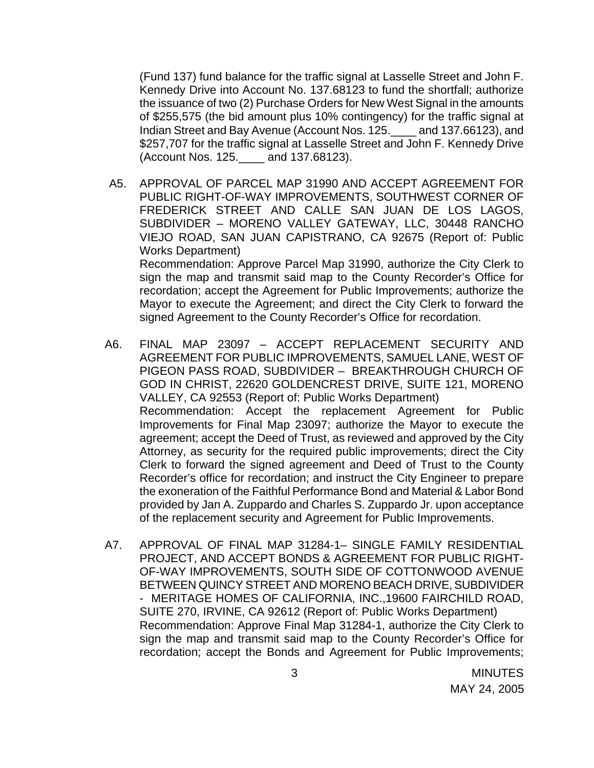(Fund 137) fund balance for the traffic signal at Lasselle Street and John F. Kennedy Drive into Account No. 137.68123 to fund the shortfall; authorize the issuance of two (2) Purchase Orders for New West Signal in the amounts of \$255,575 (the bid amount plus 10% contingency) for the traffic signal at Indian Street and Bay Avenue (Account Nos. 125.\_\_\_\_ and 137.66123), and \$257,707 for the traffic signal at Lasselle Street and John F. Kennedy Drive (Account Nos. 125.\_\_\_\_ and 137.68123).

- A5. APPROVAL OF PARCEL MAP 31990 AND ACCEPT AGREEMENT FOR PUBLIC RIGHT-OF-WAY IMPROVEMENTS, SOUTHWEST CORNER OF FREDERICK STREET AND CALLE SAN JUAN DE LOS LAGOS, SUBDIVIDER – MORENO VALLEY GATEWAY, LLC, 30448 RANCHO VIEJO ROAD, SAN JUAN CAPISTRANO, CA 92675 (Report of: Public Works Department) Recommendation: Approve Parcel Map 31990, authorize the City Clerk to sign the map and transmit said map to the County Recorder's Office for recordation; accept the Agreement for Public Improvements; authorize the Mayor to execute the Agreement; and direct the City Clerk to forward the signed Agreement to the County Recorder's Office for recordation.
- A6. FINAL MAP 23097 ACCEPT REPLACEMENT SECURITY AND AGREEMENT FOR PUBLIC IMPROVEMENTS, SAMUEL LANE, WEST OF PIGEON PASS ROAD, SUBDIVIDER – BREAKTHROUGH CHURCH OF GOD IN CHRIST, 22620 GOLDENCREST DRIVE, SUITE 121, MORENO VALLEY, CA 92553 (Report of: Public Works Department) Recommendation: Accept the replacement Agreement for Public Improvements for Final Map 23097; authorize the Mayor to execute the agreement; accept the Deed of Trust, as reviewed and approved by the City Attorney, as security for the required public improvements; direct the City Clerk to forward the signed agreement and Deed of Trust to the County Recorder's office for recordation; and instruct the City Engineer to prepare the exoneration of the Faithful Performance Bond and Material & Labor Bond provided by Jan A. Zuppardo and Charles S. Zuppardo Jr. upon acceptance of the replacement security and Agreement for Public Improvements.
- A7. APPROVAL OF FINAL MAP 31284-1– SINGLE FAMILY RESIDENTIAL PROJECT, AND ACCEPT BONDS & AGREEMENT FOR PUBLIC RIGHT-OF-WAY IMPROVEMENTS, SOUTH SIDE OF COTTONWOOD AVENUE BETWEEN QUINCY STREET AND MORENO BEACH DRIVE, SUBDIVIDER - MERITAGE HOMES OF CALIFORNIA, INC.,19600 FAIRCHILD ROAD, SUITE 270, IRVINE, CA 92612 (Report of: Public Works Department) Recommendation: Approve Final Map 31284-1, authorize the City Clerk to sign the map and transmit said map to the County Recorder's Office for recordation; accept the Bonds and Agreement for Public Improvements;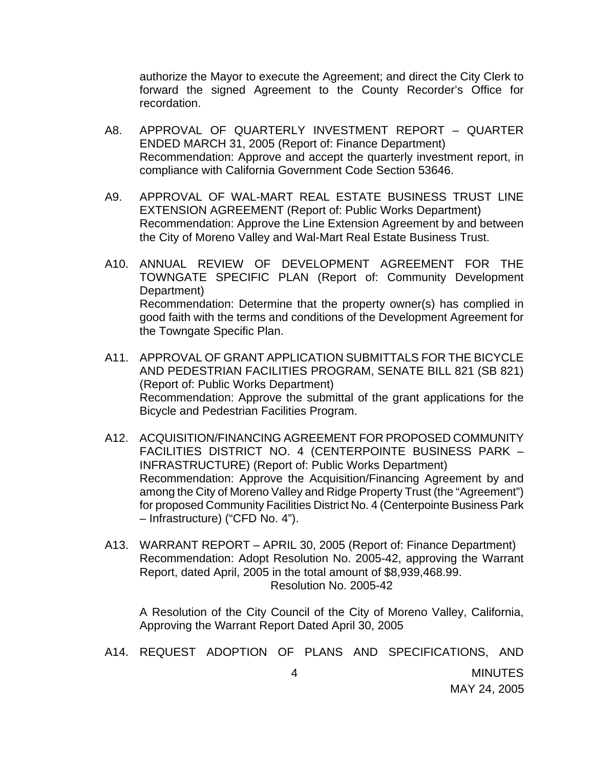authorize the Mayor to execute the Agreement; and direct the City Clerk to forward the signed Agreement to the County Recorder's Office for recordation.

- A8. APPROVAL OF QUARTERLY INVESTMENT REPORT QUARTER ENDED MARCH 31, 2005 (Report of: Finance Department) Recommendation: Approve and accept the quarterly investment report, in compliance with California Government Code Section 53646.
- A9. APPROVAL OF WAL-MART REAL ESTATE BUSINESS TRUST LINE EXTENSION AGREEMENT (Report of: Public Works Department) Recommendation: Approve the Line Extension Agreement by and between the City of Moreno Valley and Wal-Mart Real Estate Business Trust.
- A10. ANNUAL REVIEW OF DEVELOPMENT AGREEMENT FOR THE TOWNGATE SPECIFIC PLAN (Report of: Community Development Department) Recommendation: Determine that the property owner(s) has complied in good faith with the terms and conditions of the Development Agreement for the Towngate Specific Plan.
- A11. APPROVAL OF GRANT APPLICATION SUBMITTALS FOR THE BICYCLE AND PEDESTRIAN FACILITIES PROGRAM, SENATE BILL 821 (SB 821) (Report of: Public Works Department) Recommendation: Approve the submittal of the grant applications for the Bicycle and Pedestrian Facilities Program.
- A12. ACQUISITION/FINANCING AGREEMENT FOR PROPOSED COMMUNITY FACILITIES DISTRICT NO. 4 (CENTERPOINTE BUSINESS PARK – INFRASTRUCTURE) (Report of: Public Works Department) Recommendation: Approve the Acquisition/Financing Agreement by and among the City of Moreno Valley and Ridge Property Trust (the "Agreement") for proposed Community Facilities District No. 4 (Centerpointe Business Park – Infrastructure) ("CFD No. 4").
- A13. WARRANT REPORT APRIL 30, 2005 (Report of: Finance Department) Recommendation: Adopt Resolution No. 2005-42, approving the Warrant Report, dated April, 2005 in the total amount of \$8,939,468.99. Resolution No. 2005-42

 A Resolution of the City Council of the City of Moreno Valley, California, Approving the Warrant Report Dated April 30, 2005

A14. REQUEST ADOPTION OF PLANS AND SPECIFICATIONS, AND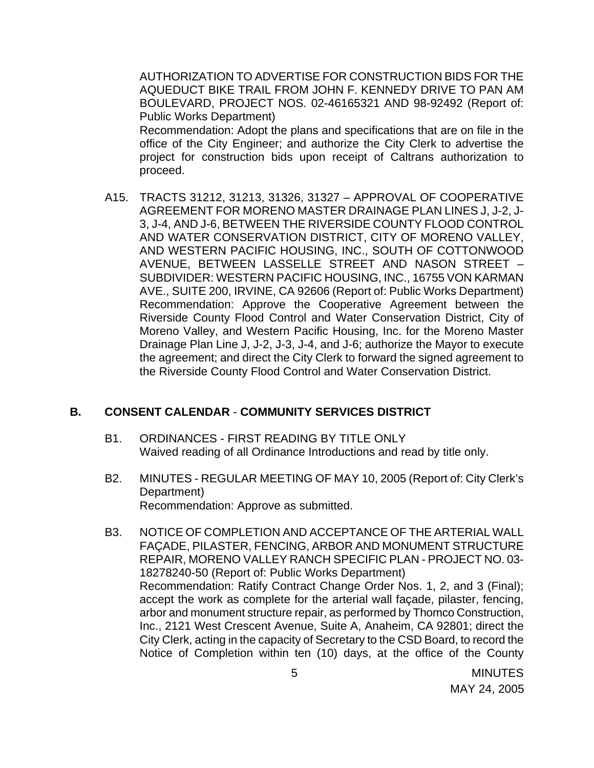AUTHORIZATION TO ADVERTISE FOR CONSTRUCTION BIDS FOR THE AQUEDUCT BIKE TRAIL FROM JOHN F. KENNEDY DRIVE TO PAN AM BOULEVARD, PROJECT NOS. 02-46165321 AND 98-92492 (Report of: Public Works Department)

Recommendation: Adopt the plans and specifications that are on file in the office of the City Engineer; and authorize the City Clerk to advertise the project for construction bids upon receipt of Caltrans authorization to proceed.

A15. TRACTS 31212, 31213, 31326, 31327 – APPROVAL OF COOPERATIVE AGREEMENT FOR MORENO MASTER DRAINAGE PLAN LINES J, J-2, J-3, J-4, AND J-6, BETWEEN THE RIVERSIDE COUNTY FLOOD CONTROL AND WATER CONSERVATION DISTRICT, CITY OF MORENO VALLEY, AND WESTERN PACIFIC HOUSING, INC., SOUTH OF COTTONWOOD AVENUE, BETWEEN LASSELLE STREET AND NASON STREET – SUBDIVIDER: WESTERN PACIFIC HOUSING, INC., 16755 VON KARMAN AVE., SUITE 200, IRVINE, CA 92606 (Report of: Public Works Department) Recommendation: Approve the Cooperative Agreement between the Riverside County Flood Control and Water Conservation District, City of Moreno Valley, and Western Pacific Housing, Inc. for the Moreno Master Drainage Plan Line J, J-2, J-3, J-4, and J-6; authorize the Mayor to execute the agreement; and direct the City Clerk to forward the signed agreement to the Riverside County Flood Control and Water Conservation District.

#### **B. CONSENT CALENDAR** - **COMMUNITY SERVICES DISTRICT**

- B1. ORDINANCES FIRST READING BY TITLE ONLY Waived reading of all Ordinance Introductions and read by title only.
- B2. MINUTES REGULAR MEETING OF MAY 10, 2005 (Report of: City Clerk's Department) Recommendation: Approve as submitted.
- B3. NOTICE OF COMPLETION AND ACCEPTANCE OF THE ARTERIAL WALL FAÇADE, PILASTER, FENCING, ARBOR AND MONUMENT STRUCTURE REPAIR, MORENO VALLEY RANCH SPECIFIC PLAN - PROJECT NO. 03- 18278240-50 (Report of: Public Works Department) Recommendation: Ratify Contract Change Order Nos. 1, 2, and 3 (Final); accept the work as complete for the arterial wall façade, pilaster, fencing, arbor and monument structure repair, as performed by Thomco Construction, Inc., 2121 West Crescent Avenue, Suite A, Anaheim, CA 92801; direct the City Clerk, acting in the capacity of Secretary to the CSD Board, to record the Notice of Completion within ten (10) days, at the office of the County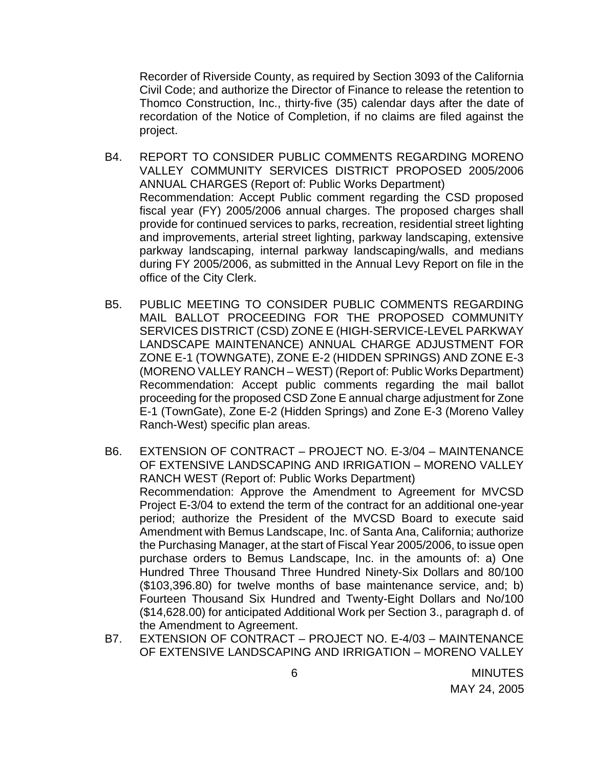Recorder of Riverside County, as required by Section 3093 of the California Civil Code; and authorize the Director of Finance to release the retention to Thomco Construction, Inc., thirty-five (35) calendar days after the date of recordation of the Notice of Completion, if no claims are filed against the project.

- B4. REPORT TO CONSIDER PUBLIC COMMENTS REGARDING MORENO VALLEY COMMUNITY SERVICES DISTRICT PROPOSED 2005/2006 ANNUAL CHARGES (Report of: Public Works Department) Recommendation: Accept Public comment regarding the CSD proposed fiscal year (FY) 2005/2006 annual charges. The proposed charges shall provide for continued services to parks, recreation, residential street lighting and improvements, arterial street lighting, parkway landscaping, extensive parkway landscaping, internal parkway landscaping/walls, and medians during FY 2005/2006, as submitted in the Annual Levy Report on file in the office of the City Clerk.
- B5. PUBLIC MEETING TO CONSIDER PUBLIC COMMENTS REGARDING MAIL BALLOT PROCEEDING FOR THE PROPOSED COMMUNITY SERVICES DISTRICT (CSD) ZONE E (HIGH-SERVICE-LEVEL PARKWAY LANDSCAPE MAINTENANCE) ANNUAL CHARGE ADJUSTMENT FOR ZONE E-1 (TOWNGATE), ZONE E-2 (HIDDEN SPRINGS) AND ZONE E-3 (MORENO VALLEY RANCH – WEST) (Report of: Public Works Department) Recommendation: Accept public comments regarding the mail ballot proceeding for the proposed CSD Zone E annual charge adjustment for Zone E-1 (TownGate), Zone E-2 (Hidden Springs) and Zone E-3 (Moreno Valley Ranch-West) specific plan areas.
- B6. EXTENSION OF CONTRACT PROJECT NO. E-3/04 MAINTENANCE OF EXTENSIVE LANDSCAPING AND IRRIGATION – MORENO VALLEY RANCH WEST (Report of: Public Works Department) Recommendation: Approve the Amendment to Agreement for MVCSD Project E-3/04 to extend the term of the contract for an additional one-year period; authorize the President of the MVCSD Board to execute said Amendment with Bemus Landscape, Inc. of Santa Ana, California; authorize the Purchasing Manager, at the start of Fiscal Year 2005/2006, to issue open purchase orders to Bemus Landscape, Inc. in the amounts of: a) One Hundred Three Thousand Three Hundred Ninety-Six Dollars and 80/100 (\$103,396.80) for twelve months of base maintenance service, and; b) Fourteen Thousand Six Hundred and Twenty-Eight Dollars and No/100 (\$14,628.00) for anticipated Additional Work per Section 3., paragraph d. of the Amendment to Agreement.
- B7. EXTENSION OF CONTRACT PROJECT NO. E-4/03 MAINTENANCE OF EXTENSIVE LANDSCAPING AND IRRIGATION – MORENO VALLEY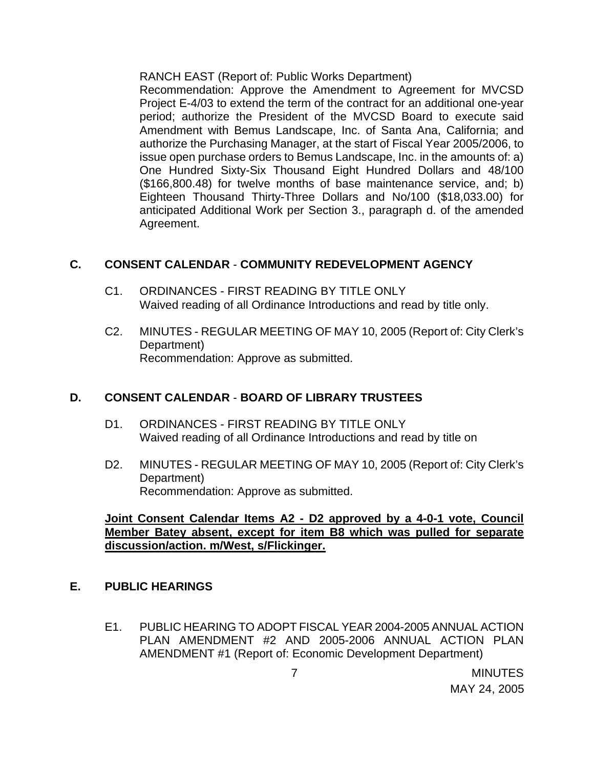RANCH EAST (Report of: Public Works Department)

Recommendation: Approve the Amendment to Agreement for MVCSD Project E-4/03 to extend the term of the contract for an additional one-year period; authorize the President of the MVCSD Board to execute said Amendment with Bemus Landscape, Inc. of Santa Ana, California; and authorize the Purchasing Manager, at the start of Fiscal Year 2005/2006, to issue open purchase orders to Bemus Landscape, Inc. in the amounts of: a) One Hundred Sixty-Six Thousand Eight Hundred Dollars and 48/100 (\$166,800.48) for twelve months of base maintenance service, and; b) Eighteen Thousand Thirty-Three Dollars and No/100 (\$18,033.00) for anticipated Additional Work per Section 3., paragraph d. of the amended Agreement.

## **C. CONSENT CALENDAR** - **COMMUNITY REDEVELOPMENT AGENCY**

- C1. ORDINANCES FIRST READING BY TITLE ONLY Waived reading of all Ordinance Introductions and read by title only.
- C2. MINUTES REGULAR MEETING OF MAY 10, 2005 (Report of: City Clerk's Department) Recommendation: Approve as submitted.

## **D. CONSENT CALENDAR** - **BOARD OF LIBRARY TRUSTEES**

- D1. ORDINANCES FIRST READING BY TITLE ONLY Waived reading of all Ordinance Introductions and read by title on
- D2. MINUTES REGULAR MEETING OF MAY 10, 2005 (Report of: City Clerk's Department) Recommendation: Approve as submitted.

## **Joint Consent Calendar Items A2 - D2 approved by a 4-0-1 vote, Council Member Batey absent, except for item B8 which was pulled for separate discussion/action. m/West, s/Flickinger.**

## **E. PUBLIC HEARINGS**

E1. PUBLIC HEARING TO ADOPT FISCAL YEAR 2004-2005 ANNUAL ACTION PLAN AMENDMENT #2 AND 2005-2006 ANNUAL ACTION PLAN AMENDMENT #1 (Report of: Economic Development Department)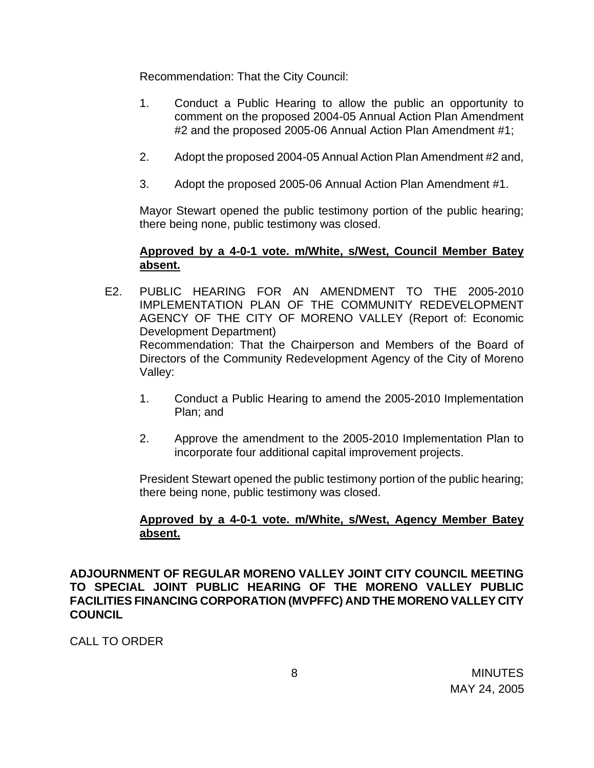Recommendation: That the City Council:

- 1. Conduct a Public Hearing to allow the public an opportunity to comment on the proposed 2004-05 Annual Action Plan Amendment #2 and the proposed 2005-06 Annual Action Plan Amendment #1;
- 2. Adopt the proposed 2004-05 Annual Action Plan Amendment #2 and,
- 3. Adopt the proposed 2005-06 Annual Action Plan Amendment #1.

 Mayor Stewart opened the public testimony portion of the public hearing; there being none, public testimony was closed.

## **Approved by a 4-0-1 vote. m/White, s/West, Council Member Batey absent.**

- E2. PUBLIC HEARING FOR AN AMENDMENT TO THE 2005-2010 IMPLEMENTATION PLAN OF THE COMMUNITY REDEVELOPMENT AGENCY OF THE CITY OF MORENO VALLEY (Report of: Economic Development Department) Recommendation: That the Chairperson and Members of the Board of Directors of the Community Redevelopment Agency of the City of Moreno Valley:
	- 1. Conduct a Public Hearing to amend the 2005-2010 Implementation Plan; and
	- 2. Approve the amendment to the 2005-2010 Implementation Plan to incorporate four additional capital improvement projects.

 President Stewart opened the public testimony portion of the public hearing; there being none, public testimony was closed.

## **Approved by a 4-0-1 vote. m/White, s/West, Agency Member Batey absent.**

**ADJOURNMENT OF REGULAR MORENO VALLEY JOINT CITY COUNCIL MEETING TO SPECIAL JOINT PUBLIC HEARING OF THE MORENO VALLEY PUBLIC FACILITIES FINANCING CORPORATION (MVPFFC) AND THE MORENO VALLEY CITY COUNCIL** 

CALL TO ORDER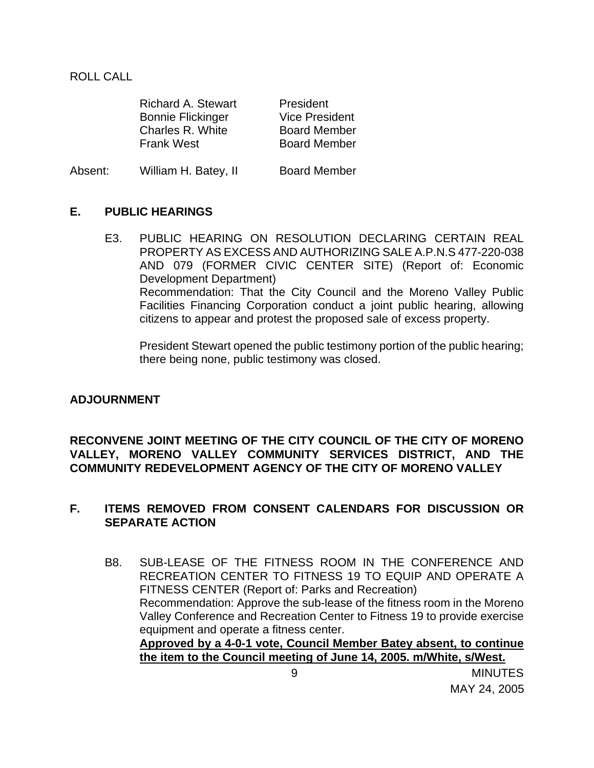ROLL CALL

| <b>Richard A. Stewart</b> | President             |
|---------------------------|-----------------------|
| <b>Bonnie Flickinger</b>  | <b>Vice President</b> |
| Charles R. White          | <b>Board Member</b>   |
| <b>Frank West</b>         | <b>Board Member</b>   |
|                           |                       |

| Absent:<br><b>Board Member</b><br>William H. Batey, II |  |
|--------------------------------------------------------|--|
|--------------------------------------------------------|--|

#### **E. PUBLIC HEARINGS**

E3. PUBLIC HEARING ON RESOLUTION DECLARING CERTAIN REAL PROPERTY AS EXCESS AND AUTHORIZING SALE A.P.N.S 477-220-038 AND 079 (FORMER CIVIC CENTER SITE) (Report of: Economic Development Department) Recommendation: That the City Council and the Moreno Valley Public Facilities Financing Corporation conduct a joint public hearing, allowing citizens to appear and protest the proposed sale of excess property.

 President Stewart opened the public testimony portion of the public hearing; there being none, public testimony was closed.

#### **ADJOURNMENT**

#### **RECONVENE JOINT MEETING OF THE CITY COUNCIL OF THE CITY OF MORENO VALLEY, MORENO VALLEY COMMUNITY SERVICES DISTRICT, AND THE COMMUNITY REDEVELOPMENT AGENCY OF THE CITY OF MORENO VALLEY**

#### **F. ITEMS REMOVED FROM CONSENT CALENDARS FOR DISCUSSION OR SEPARATE ACTION**

B8. SUB-LEASE OF THE FITNESS ROOM IN THE CONFERENCE AND RECREATION CENTER TO FITNESS 19 TO EQUIP AND OPERATE A FITNESS CENTER (Report of: Parks and Recreation) Recommendation: Approve the sub-lease of the fitness room in the Moreno Valley Conference and Recreation Center to Fitness 19 to provide exercise equipment and operate a fitness center. **Approved by a 4-0-1 vote, Council Member Batey absent, to continue the item to the Council meeting of June 14, 2005. m/White, s/West.**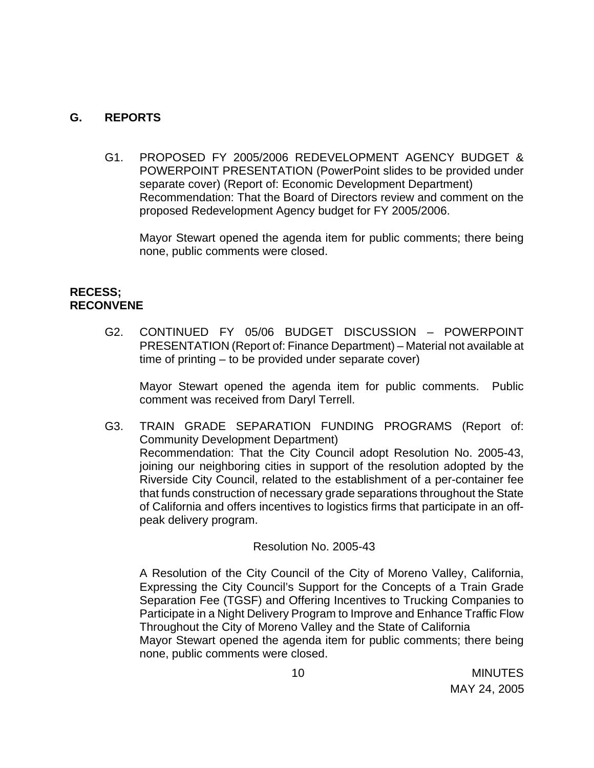## **G. REPORTS**

G1. PROPOSED FY 2005/2006 REDEVELOPMENT AGENCY BUDGET & POWERPOINT PRESENTATION (PowerPoint slides to be provided under separate cover) (Report of: Economic Development Department) Recommendation: That the Board of Directors review and comment on the proposed Redevelopment Agency budget for FY 2005/2006.

Mayor Stewart opened the agenda item for public comments; there being none, public comments were closed.

### **RECESS; RECONVENE**

G2. CONTINUED FY 05/06 BUDGET DISCUSSION – POWERPOINT PRESENTATION (Report of: Finance Department) – Material not available at time of printing – to be provided under separate cover)

Mayor Stewart opened the agenda item for public comments. Public comment was received from Daryl Terrell.

G3. TRAIN GRADE SEPARATION FUNDING PROGRAMS (Report of: Community Development Department) Recommendation: That the City Council adopt Resolution No. 2005-43, joining our neighboring cities in support of the resolution adopted by the Riverside City Council, related to the establishment of a per-container fee that funds construction of necessary grade separations throughout the State of California and offers incentives to logistics firms that participate in an offpeak delivery program.

#### Resolution No. 2005-43

A Resolution of the City Council of the City of Moreno Valley, California, Expressing the City Council's Support for the Concepts of a Train Grade Separation Fee (TGSF) and Offering Incentives to Trucking Companies to Participate in a Night Delivery Program to Improve and Enhance Traffic Flow Throughout the City of Moreno Valley and the State of California Mayor Stewart opened the agenda item for public comments; there being none, public comments were closed.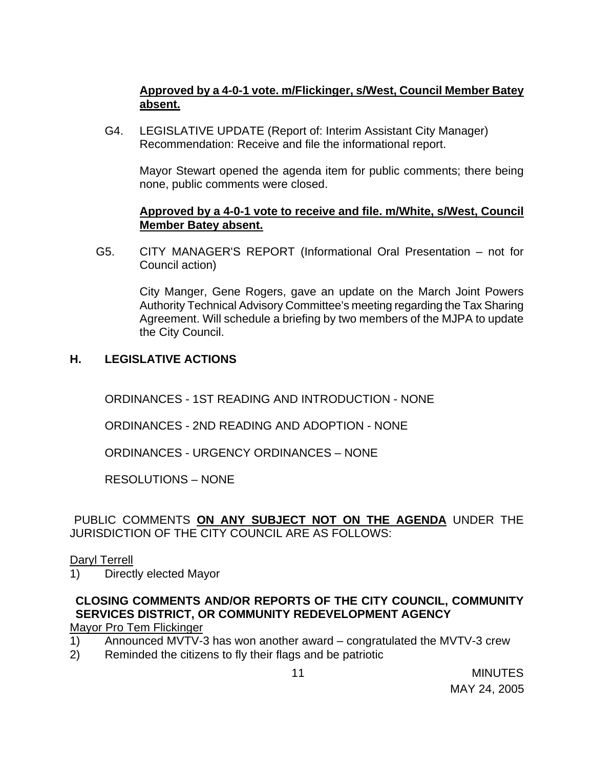## **Approved by a 4-0-1 vote. m/Flickinger, s/West, Council Member Batey absent.**

G4. LEGISLATIVE UPDATE (Report of: Interim Assistant City Manager) Recommendation: Receive and file the informational report.

Mayor Stewart opened the agenda item for public comments; there being none, public comments were closed.

### **Approved by a 4-0-1 vote to receive and file. m/White, s/West, Council Member Batey absent.**

G5. CITY MANAGER'S REPORT (Informational Oral Presentation – not for Council action)

> City Manger, Gene Rogers, gave an update on the March Joint Powers Authority Technical Advisory Committee's meeting regarding the Tax Sharing Agreement. Will schedule a briefing by two members of the MJPA to update the City Council.

## **H. LEGISLATIVE ACTIONS**

ORDINANCES - 1ST READING AND INTRODUCTION - NONE

ORDINANCES - 2ND READING AND ADOPTION - NONE

ORDINANCES - URGENCY ORDINANCES – NONE

RESOLUTIONS – NONE

## PUBLIC COMMENTS **ON ANY SUBJECT NOT ON THE AGENDA** UNDER THE JURISDICTION OF THE CITY COUNCIL ARE AS FOLLOWS:

#### Daryl Terrell

1) Directly elected Mayor

## **CLOSING COMMENTS AND/OR REPORTS OF THE CITY COUNCIL, COMMUNITY SERVICES DISTRICT, OR COMMUNITY REDEVELOPMENT AGENCY**

Mayor Pro Tem Flickinger

- 1) Announced MVTV-3 has won another award congratulated the MVTV-3 crew
- 2) Reminded the citizens to fly their flags and be patriotic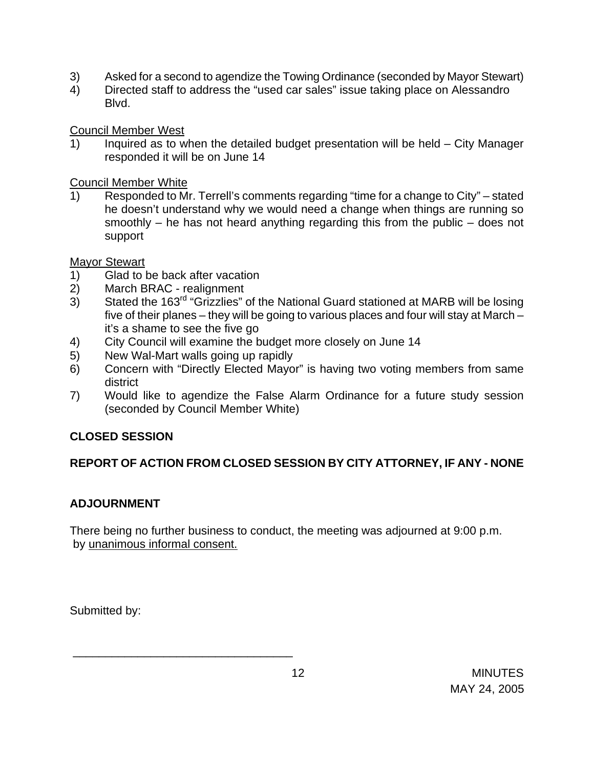- 3) Asked for a second to agendize the Towing Ordinance (seconded by Mayor Stewart)
- 4) Directed staff to address the "used car sales" issue taking place on Alessandro Blvd.

Council Member West

1) Inquired as to when the detailed budget presentation will be held – City Manager responded it will be on June 14

Council Member White

1) Responded to Mr. Terrell's comments regarding "time for a change to City" – stated he doesn't understand why we would need a change when things are running so smoothly – he has not heard anything regarding this from the public – does not support

Mayor Stewart

- 1) Glad to be back after vacation
- 2) March BRAC realignment
- 3) Stated the 163rd "Grizzlies" of the National Guard stationed at MARB will be losing five of their planes – they will be going to various places and four will stay at March – it's a shame to see the five go
- 4) City Council will examine the budget more closely on June 14
- 5) New Wal-Mart walls going up rapidly

\_\_\_\_\_\_\_\_\_\_\_\_\_\_\_\_\_\_\_\_\_\_\_\_\_\_\_\_\_\_\_\_\_\_

- 6) Concern with "Directly Elected Mayor" is having two voting members from same district
- 7) Would like to agendize the False Alarm Ordinance for a future study session (seconded by Council Member White)

# **CLOSED SESSION**

# **REPORT OF ACTION FROM CLOSED SESSION BY CITY ATTORNEY, IF ANY - NONE**

# **ADJOURNMENT**

There being no further business to conduct, the meeting was adjourned at 9:00 p.m. by unanimous informal consent.

Submitted by: